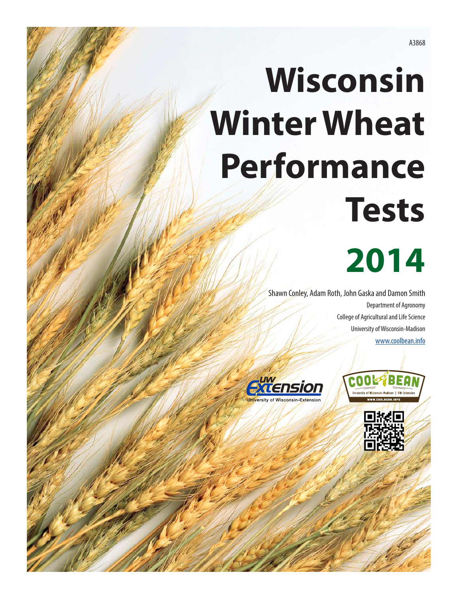# **Wisconsin Winter Wheat Performance Tests**

## **2014**

Shawn Conley, Adam Roth, John Gaska and Damon Smith Department of Agronomy College of Agricultural and Life Science University of Wisconsin-Madison [www.coolbean.info](http://www.coolbean.info)





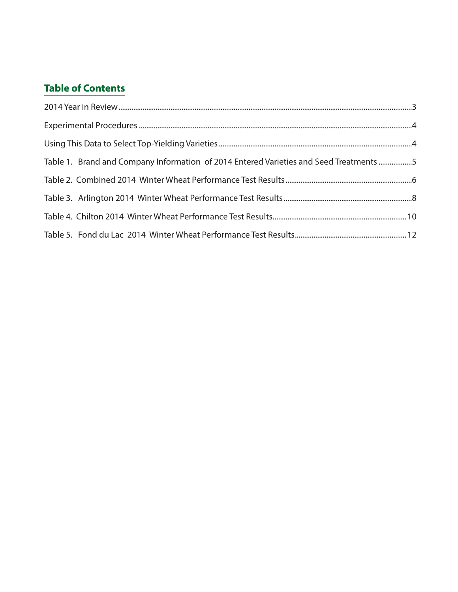#### **Table of Contents**

| Table 1. Brand and Company Information of 2014 Entered Varieties and Seed Treatments 5 |  |
|----------------------------------------------------------------------------------------|--|
|                                                                                        |  |
|                                                                                        |  |
|                                                                                        |  |
|                                                                                        |  |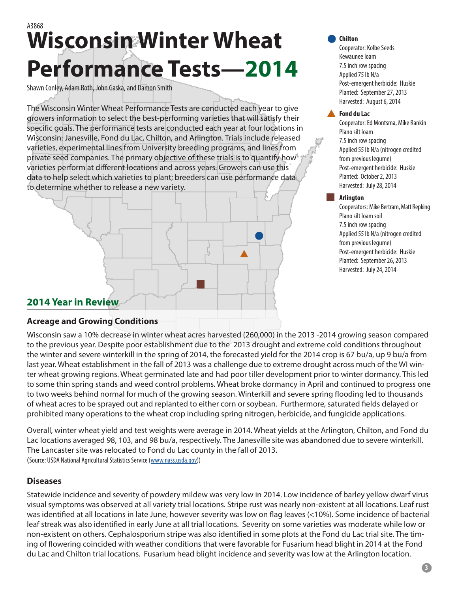### <span id="page-2-0"></span>A3868 **Wisconsin Winter Wheat Performance Tests—2014**

Shawn Conley, Adam Roth, John Gaska, and Damon Smith

The Wisconsin Winter Wheat Performance Tests are conducted each year to give growers information to select the best-performing varieties that will satisfy their specific goals. The performance tests are conducted each year at four locations in Wisconsin: Janesville, Fond du Lac, Chilton, and Arlington. Trials include released varieties, experimental lines from University breeding programs, and lines from private seed companies. The primary objective of these trials is to quantify how varieties perform at different locations and across years. Growers can use this data to help select which varieties to plant; breeders can use performance data to determine whether to release a new variety.



#### **Chilton**

Cooperator: Kolbe Seeds Kewaunee loam 7.5 inch row spacing Applied 75 lb N/a Post-emergent herbicide: Huskie Planted: September 27, 2013 Harvested: August 6, 2014

#### **Fond du Lac**

Cooperator: Ed Montsma, Mike Rankin Plano silt loam 7.5 inch row spacing Applied 55 lb N/a (nitrogen credited from previous legume) Post-emergent herbicide: Huskie Planted: October 2, 2013 Harvested: July 28, 2014

#### **Arlington**

Cooperators: Mike Bertram, Matt Repking Plano silt loam soil 7.5 inch row spacing Applied 55 lb N/a (nitrogen credited from previous legume) Post-emergent herbicide: Huskie Planted: September 26, 2013 Harvested: July 24, 2014

#### **2014 Year in Review**

#### **Acreage and Growing Conditions**

Wisconsin saw a 10% decrease in winter wheat acres harvested (260,000) in the 2013 -2014 growing season compared to the previous year. Despite poor establishment due to the 2013 drought and extreme cold conditions throughout the winter and severe winterkill in the spring of 2014, the forecasted yield for the 2014 crop is 67 bu/a, up 9 bu/a from last year. Wheat establishment in the fall of 2013 was a challenge due to extreme drought across much of the WI winter wheat growing regions. Wheat germinated late and had poor tiller development prior to winter dormancy. This led to some thin spring stands and weed control problems. Wheat broke dormancy in April and continued to progress one to two weeks behind normal for much of the growing season. Winterkill and severe spring flooding led to thousands of wheat acres to be sprayed out and replanted to either corn or soybean. Furthermore, saturated fields delayed or prohibited many operations to the wheat crop including spring nitrogen, herbicide, and fungicide applications.

Overall, winter wheat yield and test weights were average in 2014. Wheat yields at the Arlington, Chilton, and Fond du Lac locations averaged 98, 103, and 98 bu/a, respectively. The Janesville site was abandoned due to severe winterkill. The Lancaster site was relocated to Fond du Lac county in the fall of 2013. (Source: USDA National Agricultural Statistics Service [\(www.nass.usda.gov](http://www.nass.usda.gov)))

#### **Diseases**

Statewide incidence and severity of powdery mildew was very low in 2014. Low incidence of barley yellow dwarf virus visual symptoms was observed at all variety trial locations. Stripe rust was nearly non-existent at all locations. Leaf rust was identified at all locations in late June, however severity was low on flag leaves (<10%). Some incidence of bacterial leaf streak was also identified in early June at all trial locations. Severity on some varieties was moderate while low or non-existent on others. Cephalosporium stripe was also identified in some plots at the Fond du Lac trial site. The timing of flowering coincided with weather conditions that were favorable for Fusarium head blight in 2014 at the Fond du Lac and Chilton trial locations. Fusarium head blight incidence and severity was low at the Arlington location.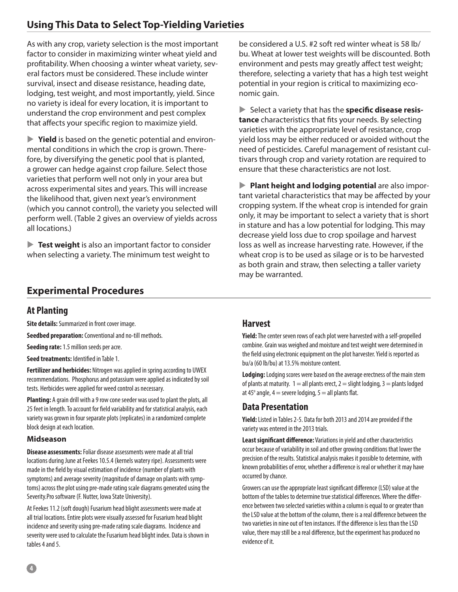<span id="page-3-0"></span>As with any crop, variety selection is the most important factor to consider in maximizing winter wheat yield and profitability. When choosing a winter wheat variety, several factors must be considered. These include winter survival, insect and disease resistance, heading date, lodging, test weight, and most importantly, yield. Since no variety is ideal for every location, it is important to understand the crop environment and pest complex that affects your specific region to maximize yield.

▶ **Yield** is based on the genetic potential and environmental conditions in which the crop is grown. Therefore, by diversifying the genetic pool that is planted, a grower can hedge against crop failure. Select those varieties that perform well not only in your area but across experimental sites and years. This will increase the likelihood that, given next year's environment (which you cannot control), the variety you selected will perform well. (Table 2 gives an overview of yields across all locations.)

**Test weight** is also an important factor to consider when selecting a variety. The minimum test weight to

be considered a U.S. #2 soft red winter wheat is 58 lb/ bu. Wheat at lower test weights will be discounted. Both environment and pests may greatly affect test weight; therefore, selecting a variety that has a high test weight potential in your region is critical to maximizing economic gain.

Select a variety that has the **specific disease resistance** characteristics that fits your needs. By selecting varieties with the appropriate level of resistance, crop yield loss may be either reduced or avoided without the need of pesticides. Careful management of resistant cultivars through crop and variety rotation are required to ensure that these characteristics are not lost.

**Plant height and lodging potential** are also important varietal characteristics that may be affected by your cropping system. If the wheat crop is intended for grain only, it may be important to select a variety that is short in stature and has a low potential for lodging. This may decrease yield loss due to crop spoilage and harvest loss as well as increase harvesting rate. However, if the wheat crop is to be used as silage or is to be harvested as both grain and straw, then selecting a taller variety may be warranted.

#### **Experimental Procedures**

#### **At Planting**

**Site details:** Summarized in front cover image.

**Seedbed preparation:** Conventional and no-till methods.

**Seeding rate:** 1.5 million seeds per acre.

**Seed treatments:** Identified in Table 1.

**Fertilizer and herbicides:** Nitrogen was applied in spring according to UWEX recommendations. Phosphorus and potassium were applied as indicated by soil tests. Herbicides were applied for weed control as necessary.

**Planting:** A grain drill with a 9 row cone seeder was used to plant the plots, all 25 feet in length. To account for field variability and for statistical analysis, each variety was grown in four separate plots (replicates) in a randomized complete block design at each location.

#### **Midseason**

**Disease assessments:** Foliar disease assessments were made at all trial locations during June at Feekes 10.5.4 (kernels watery ripe). Assessments were made in the field by visual estimation of incidence (number of plants with symptoms) and average severity (magnitude of damage on plants with symptoms) across the plot using pre-made rating scale diagrams generated using the Severity.Pro software (F. Nutter, Iowa State University).

At Feekes 11.2 (soft dough) Fusarium head blight assessments were made at all trial locations. Entire plots were visually assessed for Fusarium head blight incidence and severity using pre-made rating scale diagrams. Incidence and severity were used to calculate the Fusarium head blight index. Data is shown in tables 4 and 5.

#### **Harvest**

**Yield:** The center seven rows of each plot were harvested with a self-propelled combine. Grain was weighed and moisture and test weight were determined in the field using electronic equipment on the plot harvester. Yield is reported as bu/a (60 lb/bu) at 13.5% moisture content.

**Lodging:** Lodging scores were based on the average erectness of the main stem of plants at maturity.  $1 =$  all plants erect,  $2 =$  slight lodging,  $3 =$  plants lodged at 45 $^{\circ}$  angle, 4  $=$  severe lodging, 5  $=$  all plants flat.

#### **Data Presentation**

**Yield:** Listed in Tables 2-5. Data for both 2013 and 2014 are provided if the variety was entered in the 2013 trials.

**Least significant difference:** Variations in yield and other characteristics occur because of variability in soil and other growing conditions that lower the precision of the results. Statistical analysis makes it possible to determine, with known probabilities of error, whether a difference is real or whether it may have occurred by chance.

Growers can use the appropriate least significant difference (LSD) value at the bottom of the tables to determine true statistical differences. Where the difference between two selected varieties within a column is equal to or greater than the LSD value at the bottom of the column, there is a real difference between the two varieties in nine out of ten instances. If the difference is less than the LSD value, there may still be a real difference, but the experiment has produced no evidence of it.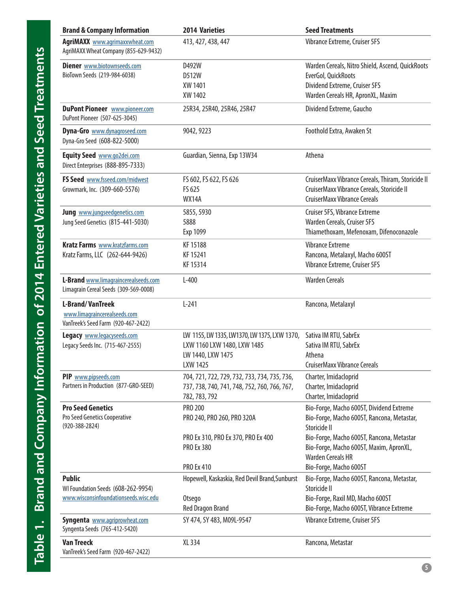<span id="page-4-0"></span>

| <b>Brand &amp; Company Information</b>                                                         | <b>2014 Varieties</b>                                                                                         | <b>Seed Treatments</b>                                                                                                                        |
|------------------------------------------------------------------------------------------------|---------------------------------------------------------------------------------------------------------------|-----------------------------------------------------------------------------------------------------------------------------------------------|
| <b>AgriMAXX</b> www.agrimaxxwheat.com<br>AgriMAXX Wheat Company (855-629-9432)                 | 413, 427, 438, 447                                                                                            | Vibrance Extreme, Cruiser 5FS                                                                                                                 |
| <b>Diener</b> www.biotownseeds.com<br>BioTown Seeds (219-984-6038)                             | D492W<br>D512W<br>XW 1401<br>XW 1402                                                                          | Warden Cereals, Nitro Shield, Ascend, QuickRoots<br>EverGol, QuickRoots<br>Dividend Extreme, Cruiser 5FS<br>Warden Cereals HR, ApronXL, Maxim |
| <b>DuPont Pioneer</b> www.pioneer.com<br>DuPont Pioneer (507-625-3045)                         | 25R34, 25R40, 25R46, 25R47                                                                                    | Dividend Extreme, Gaucho                                                                                                                      |
| Dyna-Gro www.dynagroseed.com<br>Dyna-Gro Seed (608-822-5000)                                   | 9042, 9223                                                                                                    | Foothold Extra, Awaken St                                                                                                                     |
| Equity Seed www.go2dei.com<br>Direct Enterprises (888-895-7333)                                | Guardian, Sienna, Exp 13W34                                                                                   | Athena                                                                                                                                        |
| FS Seed www.fsseed.com/midwest<br>Growmark, Inc. (309-660-5576)                                | FS 602, FS 622, FS 626<br>FS 625<br><b>WX14A</b>                                                              | CruiserMaxx Vibrance Cereals, Thiram, Storicide II<br>CruiserMaxx Vibrance Cereals, Storicide II<br><b>CruiserMaxx Vibrance Cereals</b>       |
| Jung www.jungseedgenetics.com<br>Jung Seed Genetics (815-441-5030)                             | 5855, 5930<br>5888<br>Exp 1099                                                                                | Cruiser 5FS, Vibrance Extreme<br>Warden Cereals, Cruiser 5FS<br>Thiamethoxam, Mefenoxam, Difenoconazole                                       |
| <b>Kratz Farms</b> www.kratzfarms.com<br>Kratz Farms, LLC (262-644-9426)                       | KF 15188<br>KF 15241<br>KF 15314                                                                              | <b>Vibrance Extreme</b><br>Rancona, Metalaxyl, Macho 600ST<br>Vibrance Extreme, Cruiser 5FS                                                   |
| L-Brand www.limagraincerealseeds.com<br>Limagrain Cereal Seeds (309-569-0008)                  | $L-400$                                                                                                       | <b>Warden Cereals</b>                                                                                                                         |
| <b>L-Brand/VanTreek</b><br>www.limagraincerealseeds.com<br>VanTreek's Seed Farm (920-467-2422) | $L-241$                                                                                                       | Rancona, Metalaxyl                                                                                                                            |
| Legacy www.legacyseeds.com<br>Legacy Seeds Inc. (715-467-2555)                                 | LW 1155, LW 1335, LW1370, LW 1375, LXW 1370,<br>LXW 1160 LXW 1480, LXW 1485<br>LW 1440, LXW 1475<br>LXW 1425  | Sativa IM RTU, SabrEx<br>Sativa IM RTU, SabrEx<br>Athena<br><b>CruiserMaxx Vibrance Cereals</b>                                               |
| PIP www.pipseeds.com<br>Partners in Production (877-GRO-SEED)                                  | 704, 721, 722, 729, 732, 733, 734, 735, 736,<br>737, 738, 740, 741, 748, 752, 760, 766, 767,<br>782, 783, 792 | Charter, Imidacloprid<br>Charter, Imidacloprid<br>Charter, Imidacloprid                                                                       |
| <b>Pro Seed Genetics</b><br>Pro Seed Genetics Cooperative<br>$(920 - 388 - 2824)$              | PRO 200<br>PRO 240, PRO 260, PRO 320A                                                                         | Bio-Forge, Macho 600ST, Dividend Extreme<br>Bio-Forge, Macho 600ST, Rancona, Metastar,<br>Storicide II                                        |
|                                                                                                | PRO Ex 310, PRO Ex 370, PRO Ex 400<br><b>PRO Ex 380</b>                                                       | Bio-Forge, Macho 600ST, Rancona, Metastar<br>Bio-Forge, Macho 600ST, Maxim, ApronXL,<br><b>Warden Cereals HR</b>                              |
|                                                                                                | <b>PRO Ex 410</b>                                                                                             | Bio-Forge, Macho 600ST                                                                                                                        |
| <b>Public</b><br>WI Foundation Seeds (608-262-9954)                                            | Hopewell, Kaskaskia, Red Devil Brand, Sunburst                                                                | Bio-Forge, Macho 600ST, Rancona, Metastar,<br>Storicide II                                                                                    |
| www.wisconsinfoundationseeds.wisc.edu                                                          | Otsego<br><b>Red Dragon Brand</b>                                                                             | Bio-Forge, Raxil MD, Macho 600ST<br>Bio-Forge, Macho 600ST, Vibrance Extreme                                                                  |
| Syngenta www.agriprowheat.com<br>Syngenta Seeds (765-412-5420)                                 | SY 474, SY 483, M09L-9547                                                                                     | Vibrance Extreme, Cruiser 5FS                                                                                                                 |
| <b>Van Treeck</b><br>VanTreek's Seed Farm (920-467-2422)                                       | XL 334                                                                                                        | Rancona, Metastar                                                                                                                             |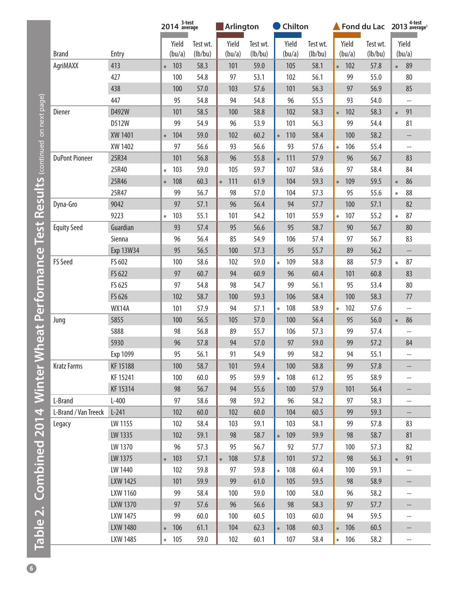<span id="page-5-0"></span>

|                       |              |        | 2014 <sup>3-test</sup> |          | <b>Arlington</b> |          | Chilton       |          |        |         |          | Fond du Lac $2013$ <sup>4-test</sup> average <sup>1</sup> |  |
|-----------------------|--------------|--------|------------------------|----------|------------------|----------|---------------|----------|--------|---------|----------|-----------------------------------------------------------|--|
|                       |              |        | Yield                  | Test wt. | Yield            | Test wt. | Yield         | Test wt. |        | Yield   | Test wt. | Yield                                                     |  |
| <b>Brand</b>          | Entry        |        | (bu/a)                 | (lb/bu)  | (bu/a)           | (lb/bu)  | (bu/a)        | (lb/bu)  |        | (bu/a)  | (lb/bu)  | (bu/a)                                                    |  |
| AgriMAXX              | 413          | $*$    | 103                    | 58.3     | 101              | 59.0     | 105           | 58.1     |        | $* 102$ | 57.8     | 89<br>$\ast$                                              |  |
|                       | 427          |        | 100                    | 54.8     | 97               | 53.1     | 102           | 56.1     |        | 99      | 55.0     | 80                                                        |  |
|                       | 438          |        | 100                    | 57.0     | 103              | 57.6     | 101           | 56.3     |        | 97      | 56.9     | 85                                                        |  |
|                       | 447          |        | 95                     | 54.8     | 94               | 54.8     | 96            | 55.5     |        | 93      | 54.0     | $\overline{\phantom{a}}$                                  |  |
| Diener                | D492W        |        | 101                    | 58.5     | 100              | 58.8     | 102           | 58.3     | $\ast$ | 102     | 58.3     | 91<br>$\ast$                                              |  |
|                       | D512W        |        | 99                     | 54.9     | 96               | 53.9     | 101           | 56.3     |        | 99      | 54.4     | 81                                                        |  |
|                       | XW 1401      | $\ast$ | 104                    | 59.0     | 102              | 60.2     | 110<br>$\ast$ | 58.4     |        | 100     | 58.2     | --                                                        |  |
|                       | XW 1402      |        | 97                     | 56.6     | 93               | 56.6     | 93            | 57.6     | $\ast$ | 106     | 55.4     | $\overline{\phantom{a}}$                                  |  |
| <b>DuPont Pioneer</b> | 25R34        |        | 101                    | 56.8     | 96               | 55.8     | 111<br>$\ast$ | 57.9     |        | 96      | 56.7     | 83                                                        |  |
|                       | 25R40        | $\ast$ | 103                    | 59.0     | 105              | 59.7     | 107           | 58.6     |        | 97      | 58.4     | 84                                                        |  |
|                       | 25R46        | $*$    | 108                    | 60.3     | 111<br>$\ast$    | 61.9     | 104           | 59.3     | $\ast$ | 109     | 59.5     | 86<br>$\ast$                                              |  |
|                       | 25R47        |        | 99                     | 56.7     | 98               | 57.0     | 104           | 57.3     |        | 95      | 55.6     | 88<br>$\ast$                                              |  |
| Dyna-Gro              | 9042         |        | 97                     | 57.1     | 96               | 56.4     | 94            | 57.7     |        | 100     | 57.1     | 82                                                        |  |
|                       | 9223         | $\ast$ | 103                    | 55.1     | 101              | 54.2     | 101           | 55.9     | $\ast$ | 107     | 55.2     | 87<br>$\ast$                                              |  |
| <b>Equity Seed</b>    | Guardian     |        | 93                     | 57.4     | 95               | 56.6     | 95            | 58.7     |        | 90      | 56.7     | 80                                                        |  |
|                       | Sienna       |        | 96                     | 56.4     | 85               | 54.9     | 106           | 57.4     |        | 97      | 56.7     | 83                                                        |  |
|                       | Exp 13W34    |        | 95                     | 56.5     | 100              | 57.3     | 95            | 55.7     |        | 89      | 56.2     | $\overline{\phantom{a}}$                                  |  |
| <b>FS Seed</b>        | FS 602       |        | 100                    | 58.6     | 102              | 59.0     | 109<br>$\ast$ | 58.8     |        | 88      | 57.9     | 87<br>$\ast$                                              |  |
|                       | FS 622       |        | 97                     | 60.7     | 94               | 60.9     | 96            | 60.4     |        | 101     | 60.8     | 83                                                        |  |
|                       | FS 625       |        | 97                     | 54.8     | 98               | 54.7     | 99            | 56.1     |        | 95      | 53.4     | 80                                                        |  |
|                       | FS 626       |        | 102                    | 58.7     | 100              | 59.3     | 106           | 58.4     |        | 100     | 58.3     | 77                                                        |  |
|                       | <b>WX14A</b> |        | 101                    | 57.9     | 94               | 57.1     | 108<br>$\ast$ | 58.9     | $\ast$ | 102     | 57.6     | $\hspace{0.05cm} -\hspace{0.05cm} -\hspace{0.05cm}$       |  |
| Jung                  | 5855         |        | 100                    | 56.5     | 105              | 57.0     | 100           | 56.4     |        | 95      | 56.0     | 86<br>$\ast$                                              |  |
|                       | 5888         |        | 98                     | 56.8     | 89               | 55.7     | 106           | 57.3     |        | 99      | 57.4     | $\overline{\phantom{a}}$                                  |  |
|                       | 5930         |        | 96                     | 57.8     | 94               | 57.0     | 97            | 59.0     |        | 99      | 57.2     | 84                                                        |  |
|                       | Exp 1099     |        | 95                     | 56.1     | 91               | 54.9     | 99            | 58.2     |        | 94      | 55.1     |                                                           |  |
| <b>Kratz Farms</b>    | KF 15188     |        | 100                    | 58.7     | 101              | 59.4     | 100           | 58.8     |        | 99      | 57.8     | --                                                        |  |
|                       | KF 15241     |        | 100                    | 60.0     | 95               | 59.9     | 108<br>$\ast$ | 61.2     |        | 95      | 58.9     | --                                                        |  |
|                       | KF 15314     |        | 98                     | 56.7     | 94               | 55.6     | 100           | 57.9     |        | 101     | 56.4     |                                                           |  |
| L-Brand               | $L-400$      |        | 97                     | 58.6     | 98               | 59.2     | 96            | 58.2     |        | 97      | 58.3     | --                                                        |  |
| L-Brand / Van Treeck  | $L-241$      |        | 102                    | 60.0     | 102              | 60.0     | 104           | 60.5     |        | 99      | 59.3     | $\qquad \qquad -$                                         |  |
| Legacy                | LW 1155      |        | 102                    | 58.4     | 103              | 59.1     | 103           | 58.1     |        | 99      | 57.8     | 83                                                        |  |
|                       | LW 1335      |        | 102                    | 59.1     | 98               | 58.7     | 109<br>$\ast$ | 59.9     |        | 98      | 58.7     | 81                                                        |  |
|                       | LW 1370      |        | 96                     | 57.3     | 95               | 56.7     | 92            | 57.7     |        | 100     | 57.3     | 82                                                        |  |
|                       | LW 1375      | $\ast$ | 103                    | 57.1     | 108<br>$\ast$    | 57.8     | 101           | 57.2     |        | 98      | 56.3     | 91<br>$\ast$                                              |  |
|                       | LW 1440      |        | 102                    | 59.8     | 97               | 59.8     | 108<br>$\ast$ | 60.4     |        | 100     | 59.1     | $\overline{\phantom{a}}$                                  |  |
|                       | LXW 1425     |        | 101                    | 59.9     | 99               | 61.0     | 105           | 59.5     |        | 98      | 58.9     | --                                                        |  |
|                       | LXW 1160     |        | 99                     | 58.4     | 100              | 59.0     | 100           | 58.0     |        | 96      | 58.2     | $\hspace{0.05cm} -\hspace{0.05cm}$                        |  |
|                       | LXW 1370     |        | 97                     | 57.6     | 96               | 56.6     | 98            | 58.3     |        | 97      | 57.7     |                                                           |  |
|                       | LXW 1475     |        | 99                     | 60.0     | 100              | 60.5     | 103           | 60.0     |        | 94      | 59.5     | $\hspace{0.05cm} -\hspace{0.05cm}$                        |  |
|                       | LXW 1480     | $\ast$ | 106                    | 61.1     | 104              | 62.3     | 108<br>$\ast$ | 60.3     |        | $* 106$ | 60.5     | --                                                        |  |
|                       | LXW 1485     |        | $* 105$                | 59.0     | 102              | 60.1     | 107           | 58.4     |        | $* 106$ | 58.2     | $-$                                                       |  |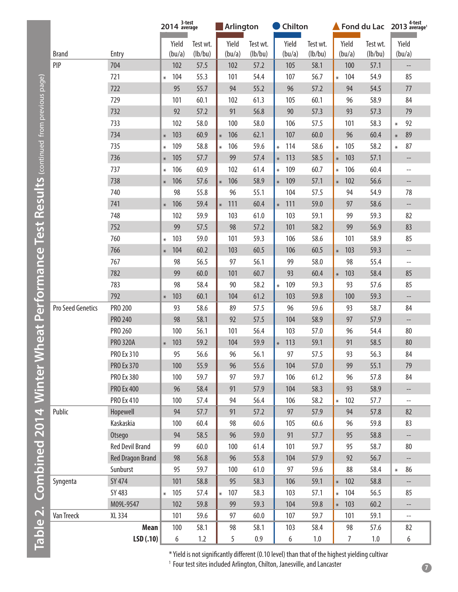|                                                                                   |                   |                         |        | 2014 <sup>3-test</sup> |          |        | <b>Arlington</b> |          | Chilton |         |          | Fond du Lac $2013$ <sup>4-test</sup> |        |                                                                                                |        |                                                     |
|-----------------------------------------------------------------------------------|-------------------|-------------------------|--------|------------------------|----------|--------|------------------|----------|---------|---------|----------|--------------------------------------|--------|------------------------------------------------------------------------------------------------|--------|-----------------------------------------------------|
|                                                                                   |                   |                         |        | Yield                  | Test wt. |        | Yield            | Test wt. |         | Yield   | Test wt. |                                      | Yield  | Test wt.                                                                                       |        | Yield                                               |
|                                                                                   | <b>Brand</b>      | Entry                   |        | (bu/a)                 | (lb/bu)  |        | (bu/a)           | (lb/bu)  |         | (bu/a)  | (lb/bu)  |                                      | (bu/a) | (lb/bu)                                                                                        |        | (bu/a)                                              |
|                                                                                   | PIP               | 704                     |        | 102                    | 57.5     |        | 102              | 57.2     |         | 105     | 58.1     |                                      | 100    | 57.1                                                                                           |        | --                                                  |
|                                                                                   |                   | 721                     | *      | 104                    | 55.3     |        | 101              | 54.4     |         | 107     | 56.7     | $\ast$                               | 104    | 54.9                                                                                           |        | 85                                                  |
|                                                                                   |                   | 722                     |        | 95                     | 55.7     |        | 94               | 55.2     |         | 96      | 57.2     |                                      | 94     | 54.5                                                                                           |        | 77                                                  |
|                                                                                   |                   | 729                     |        | 101                    | 60.1     |        | 102              | 61.3     |         | 105     | 60.1     |                                      | 96     | 58.9                                                                                           |        | 84                                                  |
|                                                                                   |                   | 732                     |        | 92                     | 57.2     |        | 91               | 56.8     |         | 90      | 57.3     |                                      | 93     | 57.3                                                                                           |        | 79                                                  |
|                                                                                   |                   | 733                     |        | 102                    | 58.0     |        | 100              | 58.0     |         | 106     | 57.5     |                                      | 101    | 58.3                                                                                           | $\ast$ | 92                                                  |
|                                                                                   |                   | 734                     | $\ast$ | 103                    | 60.9     | $\ast$ | 106              | 62.1     |         | 107     | 60.0     |                                      | 96     | 60.4                                                                                           | $\ast$ | 89                                                  |
|                                                                                   |                   | 735                     | $\ast$ | 109                    | 58.8     | $\ast$ | 106              | 59.6     | $\ast$  | 114     | 58.6     | $\ast$                               | 105    | 58.2                                                                                           | $\ast$ | 87                                                  |
|                                                                                   |                   | 736                     | $*$    | 105                    | 57.7     |        | 99               | 57.4     |         | $* 113$ | 58.5     | $\ast$                               | 103    | 57.1                                                                                           |        |                                                     |
|                                                                                   |                   | 737                     | $\ast$ | 106                    | 60.9     |        | 102              | 61.4     | $\ast$  | 109     | 60.7     | $\ast$                               | 106    | 60.4                                                                                           |        | $-$                                                 |
|                                                                                   |                   | 738                     |        | $* 106$                | 57.6     | $\ast$ | 106              | 58.9     |         | * 109   | 57.1     | $\ast$                               | 102    | 56.6                                                                                           |        | $- -$                                               |
|                                                                                   |                   | 740                     |        | 98                     | 55.8     |        | 96               | 55.1     |         | 104     | 57.5     |                                      | 94     | 54.9                                                                                           |        | 78                                                  |
|                                                                                   |                   | 741                     |        | $* 106$                | 59.4     | $\ast$ | 111              | 60.4     |         | $* 111$ | 59.0     |                                      | 97     | 58.6                                                                                           |        | --                                                  |
|                                                                                   |                   | 748                     |        | 102                    | 59.9     |        | 103              | 61.0     |         | 103     | 59.1     |                                      | 99     | 59.3                                                                                           |        | 82                                                  |
|                                                                                   |                   | 752                     |        | 99                     | 57.5     |        | 98               | 57.2     |         | 101     | 58.2     |                                      | 99     | 56.9                                                                                           |        | 83                                                  |
|                                                                                   |                   | 760                     | $\ast$ | 103                    | 59.0     |        | 101              | 59.3     |         | 106     | 58.6     |                                      | 101    | 58.9                                                                                           |        | 85                                                  |
|                                                                                   |                   | 766                     | $*$    | 104                    | 60.2     |        | 103              | 60.5     |         | 106     | 60.5     | $\ast$                               | 103    | 59.3                                                                                           |        | $\overline{\phantom{a}}$                            |
|                                                                                   |                   | 767                     |        | 98                     | 56.5     |        | 97               | 56.1     |         | 99      | 58.0     |                                      | 98     | 55.4                                                                                           |        | --                                                  |
|                                                                                   |                   | 782                     |        | 99                     | 60.0     |        | 101              | 60.7     |         | 93      | 60.4     | $\ast$                               | 103    | 58.4                                                                                           |        | 85                                                  |
|                                                                                   |                   | 783                     |        | 98                     | 58.4     |        | 90               | 58.2     | $\ast$  | 109     | 59.3     |                                      | 93     | 57.6                                                                                           |        | 85                                                  |
|                                                                                   |                   | 792                     | $\ast$ | 103                    | 60.1     |        | 104              | 61.2     |         | 103     | 59.8     |                                      | 100    | 59.3                                                                                           |        |                                                     |
|                                                                                   | Pro Seed Genetics | PRO 200                 |        | 93                     | 58.6     |        | 89               | 57.5     |         | 96      | 59.6     |                                      | 93     | 58.7                                                                                           |        | 84                                                  |
|                                                                                   |                   | <b>PRO 240</b>          |        | 98                     | 58.1     |        | 92               | 57.5     |         | 104     | 58.9     |                                      | 97     | 57.9                                                                                           |        | $- -$                                               |
|                                                                                   |                   | PRO 260                 |        | 100                    | 56.1     |        | 101              | 56.4     |         | 103     | 57.0     |                                      | 96     | 54.4                                                                                           |        | 80                                                  |
|                                                                                   |                   | <b>PRO 320A</b>         |        | $* 103$                | 59.2     |        | 104              | 59.9     |         | $* 113$ | 59.1     |                                      | 91     | 58.5                                                                                           |        | 80                                                  |
|                                                                                   |                   | PRO Ex 310              |        | 95                     | 56.6     |        | 96               | 56.1     |         | 97      | 57.5     |                                      | 93     | 56.3                                                                                           |        | 84                                                  |
|                                                                                   |                   | <b>PRO Ex 370</b>       |        | 100                    | 55.9     |        | 96               | 55.6     |         | 104     | 57.0     |                                      | 99     | 55.1                                                                                           |        | 79                                                  |
|                                                                                   |                   | PRO Ex 380              |        | 100                    | 59.7     |        | 97               | 59.7     |         | 106     | 61.2     |                                      | 96     | 57.8                                                                                           |        | 84                                                  |
|                                                                                   |                   | <b>PRO Ex 400</b>       |        | 96                     | 58.4     |        | 91               | 57.9     |         | 104     | 58.3     |                                      | 93     | 58.9                                                                                           |        | --                                                  |
|                                                                                   |                   | <b>PRO Ex 410</b>       |        | 100                    | 57.4     |        | 94               | 56.4     |         | 106     | 58.2     | $\ast$                               | 102    | 57.7                                                                                           |        | $\hspace{0.05cm} -\hspace{0.05cm} -\hspace{0.05cm}$ |
|                                                                                   | Public            | Hopewell                |        | 94                     | 57.7     |        | 91               | 57.2     |         | 97      | 57.9     |                                      | 94     | 57.8                                                                                           |        | 82                                                  |
|                                                                                   |                   | Kaskaskia               |        | 100                    | 60.4     |        | 98               | 60.6     |         | 105     | 60.6     |                                      | 96     | 59.8                                                                                           |        | 83                                                  |
|                                                                                   |                   | Otsego                  |        | 94                     | 58.5     |        | 96               | 59.0     |         | 91      | 57.7     |                                      | 95     | 58.8                                                                                           |        |                                                     |
|                                                                                   |                   | <b>Red Devil Brand</b>  |        | 99                     | 60.0     |        | 100              | 61.4     |         | 101     | 59.7     |                                      | 95     | 58.7                                                                                           |        | 80                                                  |
|                                                                                   |                   | <b>Red Dragon Brand</b> |        | 98                     | 56.8     |        | 96               | 55.8     |         | 104     | 57.9     |                                      | 92     | 56.7                                                                                           |        |                                                     |
|                                                                                   |                   | Sunburst                |        | 95                     | 59.7     |        | 100              | 61.0     |         | 97      | 59.6     |                                      | 88     | 58.4                                                                                           | $\ast$ | 86                                                  |
| Combined 2014 Winter Wheat Performance Test Results continued from previous page) | Syngenta          | <b>SY 474</b>           |        | 101                    | 58.8     |        | 95               | 58.3     |         | 106     | 59.1     | $\ast$                               | 102    | 58.8                                                                                           |        |                                                     |
|                                                                                   |                   | SY 483                  | $\ast$ | 105                    | 57.4     | $\ast$ | 107              | 58.3     |         | 103     | 57.1     | ⋇                                    | 104    | 56.5                                                                                           |        | 85                                                  |
|                                                                                   |                   | M09L-9547               |        | 102                    | 59.8     |        | 99               | 59.3     |         | 104     | 59.8     | $\ast$                               | 103    | 60.2                                                                                           |        |                                                     |
|                                                                                   | Van Treeck        | XL 334                  |        | 101                    | 59.6     |        | 97               | 60.0     |         | 107     | 59.7     |                                      | 101    | 59.1                                                                                           |        | $\hspace{0.05cm} -\hspace{0.05cm} -\hspace{0.05cm}$ |
|                                                                                   |                   | Mean                    |        | 100                    | 58.1     |        | 98               | 58.1     |         | 103     | 58.4     |                                      | 98     | 57.6                                                                                           |        | 82                                                  |
| Table 2.                                                                          |                   | LSD(.10)                |        | 6                      | 1.2      |        | 5                | 0.9      |         | 6       | 1.0      |                                      | 7      | 1.0                                                                                            |        | 6                                                   |
|                                                                                   |                   |                         |        |                        |          |        |                  |          |         |         |          |                                      |        | * Yield is not significantly different (0 10 level) than that of the highest vielding cultivar |        |                                                     |

\* Yield is not significantly different (0.10 level) than that of the highest yielding cultivar

<sup>1</sup> Four test sites included Arlington, Chilton, Janesville, and Lancaster

**7**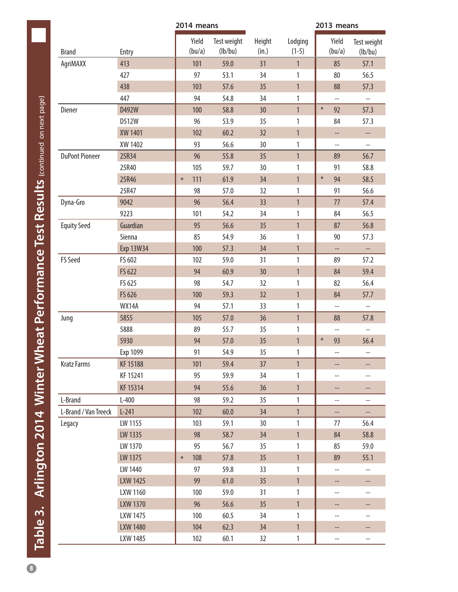<span id="page-7-0"></span>

|                       |                 | 2014 means      |                        | 2013 means      |                    |                                                     |                                                     |  |  |  |
|-----------------------|-----------------|-----------------|------------------------|-----------------|--------------------|-----------------------------------------------------|-----------------------------------------------------|--|--|--|
| <b>Brand</b>          | Entry           | Yield<br>(bu/a) | Test weight<br>(lb/bu) | Height<br>(in.) | Lodging<br>$(1-5)$ | Yield<br>(bu/a)                                     | Test weight<br>(lb/bu)                              |  |  |  |
| AgriMAXX              | 413             | 101             | 59.0                   | 31              | $\mathbf{1}$       | 85                                                  | 57.1                                                |  |  |  |
|                       | 427             | 97              | 53.1                   | 34              | 1                  | 80                                                  | 56.5                                                |  |  |  |
|                       | 438             | 103             | 57.6                   | 35              | $\mathbf{1}$       | 88                                                  | 57.3                                                |  |  |  |
|                       | 447             | 94              | 54.8                   | 34              | 1                  | $\hspace{0.05cm} -\hspace{0.05cm} -\hspace{0.05cm}$ | $\hspace{0.05cm} -\hspace{0.05cm} -\hspace{0.05cm}$ |  |  |  |
| Diener                | D492W           | 100             | 58.8                   | 30              | $\mathbf{1}$       | $\ast$<br>92                                        | 57.3                                                |  |  |  |
|                       | D512W           | 96              | 53.9                   | 35              | 1                  | 84                                                  | 57.3                                                |  |  |  |
|                       | XW 1401         | 102             | 60.2                   | 32              | $\mathbf{1}$       | --                                                  | ÷                                                   |  |  |  |
|                       | XW 1402         | 93              | 56.6                   | 30              | 1                  | $\hspace{0.05cm} -$                                 | --                                                  |  |  |  |
| <b>DuPont Pioneer</b> | 25R34           | 96              | 55.8                   | 35              | $\mathbf{1}$       | 89                                                  | 56.7                                                |  |  |  |
|                       | 25R40           | 105             | 59.7                   | 30              | 1                  | 91                                                  | 58.8                                                |  |  |  |
|                       | 25R46           | 111<br>$\ast$   | 61.9                   | 34              | $\mathbf{1}$       | $\ast$<br>94                                        | 58.5                                                |  |  |  |
|                       | 25R47           | 98              | 57.0                   | 32              | 1                  | 91                                                  | 56.6                                                |  |  |  |
| Dyna-Gro              | 9042            | 96              | 56.4                   | 33              | $\mathbf{1}$       | 77                                                  | 57.4                                                |  |  |  |
|                       | 9223            | 101             | 54.2                   | 34              | 1                  | 84                                                  | 56.5                                                |  |  |  |
| <b>Equity Seed</b>    | Guardian        | 95              | 56.6                   | 35              | $\mathbf{1}$       | 87                                                  | 56.8                                                |  |  |  |
|                       | Sienna          | 85              | 54.9                   | 36              | 1                  | 90                                                  | 57.3                                                |  |  |  |
|                       | Exp 13W34       | 100             | 57.3                   | 34              | $\mathbf{1}$       | --                                                  | --                                                  |  |  |  |
| <b>FS Seed</b>        | FS 602          | 102             | 59.0                   | 31              | 1                  | 89                                                  | 57.2                                                |  |  |  |
|                       | FS 622          | 94              | 60.9                   | 30              | $\mathbf{1}$       | 84                                                  | 59.4                                                |  |  |  |
|                       | FS 625          | 98              | 54.7                   | 32              | 1                  | 82                                                  | 56.4                                                |  |  |  |
|                       | FS 626          | 100             | 59.3                   | 32              | $\mathbf{1}$       | 84                                                  | 57.7                                                |  |  |  |
|                       | <b>WX14A</b>    | 94              | 57.1                   | 33              | 1                  | $\overline{\phantom{a}}$                            | $\qquad \qquad -$                                   |  |  |  |
| Jung                  | 5855            | 105             | 57.0                   | 36              | $\mathbf{1}$       | 88                                                  | 57.8                                                |  |  |  |
|                       | 5888            | 89              | 55.7                   | 35              | 1                  | $-$                                                 | $\overline{\phantom{a}}$                            |  |  |  |
|                       | 5930            | 94              | 57.0                   | 35              | $\mathbf{1}$       | $\ast$<br>93                                        | 56.4                                                |  |  |  |
|                       | Exp 1099        | 91              | 54.9                   | 35              | 1                  | --                                                  | --                                                  |  |  |  |
| <b>Kratz Farms</b>    | KF 15188        | 101             | 59.4                   | 37              | $\mathbf{1}$       | --                                                  | --                                                  |  |  |  |
|                       | KF 15241        | 95              | 59.9                   | 34              | 1                  | --                                                  | $\qquad \qquad -$                                   |  |  |  |
|                       | KF 15314        | 94              | 55.6                   | 36              | $\mathbf{1}$       | --                                                  | --                                                  |  |  |  |
| L-Brand               | $L-400$         | 98              | 59.2                   | 35 <sub>2</sub> | $\mathbf{1}$       | --                                                  | $-\!$ –                                             |  |  |  |
| L-Brand / Van Treeck  | $L-241$         | 102             | 60.0                   | 34              | $\mathbf{1}$       | --                                                  | $-\!$                                               |  |  |  |
| Legacy                | LW 1155         | 103             | 59.1                   | 30              | $\mathbf{1}$       | 77                                                  | 56.4                                                |  |  |  |
|                       | LW 1335         | 98              | 58.7                   | 34              | $\mathbf{1}$       | 84                                                  | 58.8                                                |  |  |  |
|                       | LW 1370         | 95              | 56.7                   | 35              | 1                  | 85                                                  | 59.0                                                |  |  |  |
|                       | LW 1375         | 108<br>$\ast$   | 57.8                   | 35              | $\mathbf{1}$       | 89                                                  | 55.1                                                |  |  |  |
|                       | LW 1440         | 97              | 59.8                   | 33              | 1                  | --                                                  | --                                                  |  |  |  |
|                       | LXW 1425        | 99              | 61.0                   | 35              | $\mathbf{1}$       | --                                                  | --                                                  |  |  |  |
|                       | LXW 1160        | 100             | 59.0                   | 31              | 1                  | $-\!$                                               | $- -$                                               |  |  |  |
|                       | LXW 1370        | 96              | 56.6                   | 35              | $\mathbf{1}$       | --                                                  | --                                                  |  |  |  |
|                       | LXW 1475        | 100             | 60.5                   | 34              | 1                  | $\qquad \qquad -$                                   | --                                                  |  |  |  |
|                       | <b>LXW 1480</b> | 104             | 62.3                   | 34              | $\mathbf{1}$       | --                                                  |                                                     |  |  |  |
|                       | LXW 1485        | 102             | 60.1                   | 32              | $\mathbf{1}$       | --                                                  | $\hspace{0.05cm} -\hspace{0.05cm} -\hspace{0.05cm}$ |  |  |  |

Table 3. Arlington 2014 Winter Wheat Performance Test Results (continued on next page) **Table 3. Arlington 2014 Winter Wheat Performance Test Results (**continued on next page**)**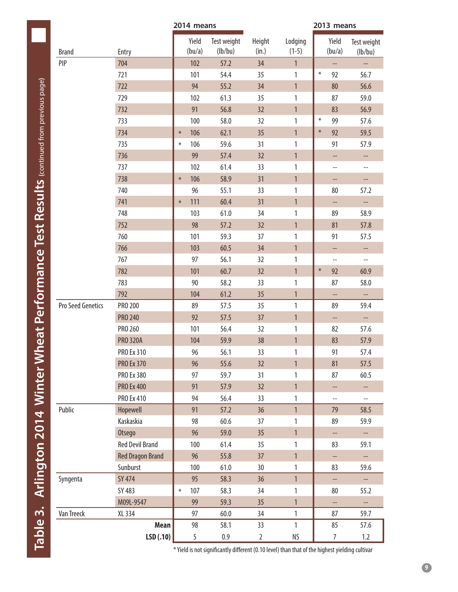|                   |                         | 2014 means      |                        |                 |                    | 2013 means               |                          |  |
|-------------------|-------------------------|-----------------|------------------------|-----------------|--------------------|--------------------------|--------------------------|--|
| <b>Brand</b>      | Entry                   | Yield<br>(bu/a) | Test weight<br>(lb/bu) | Height<br>(in.) | Lodging<br>$(1-5)$ | Yield<br>(bu/a)          | Test weight<br>(lb/bu)   |  |
| PIP               | 704                     | 102             | 57.2                   | 34              | $\mathbf{1}$       | --                       | $\overline{\phantom{a}}$ |  |
|                   | 721                     | 101             | 54.4                   | 35              | 1                  | $\ast$<br>92             | 56.7                     |  |
|                   | 722                     | 94              | 55.2                   | 34              | $\mathbf{1}$       | 80                       | 56.6                     |  |
|                   | 729                     | 102             | 61.3                   | 35              | 1                  | 87                       | 59.0                     |  |
|                   | 732                     | 91              | 56.8                   | 32              | $\mathbf{1}$       | 83                       | 56.9                     |  |
|                   | 733                     | 100             | 58.0                   | 32              | 1                  | $\ast$<br>99             | 57.6                     |  |
|                   | 734                     | 106<br>$\ast$   | 62.1                   | 35              | $\mathbf{1}$       | $\ast$<br>92             | 59.5                     |  |
|                   | 735                     | 106<br>$\ast$   | 59.6                   | 31              | 1                  | 91                       | 57.9                     |  |
|                   | 736                     | 99              | 57.4                   | 32              | $\mathbf{1}$       | --                       | --                       |  |
|                   | 737                     | 102             | 61.4                   | 33              | 1                  | $--$                     | --                       |  |
|                   | 738                     | 106<br>$\ast$   | 58.9                   | 31              | $\mathbf{1}$       | --                       | --                       |  |
|                   | 740                     | 96              | 55.1                   | 33              | 1                  | 80                       | 57.2                     |  |
|                   | 741                     | 111<br>$\ast$   | 60.4                   | 31              | $\mathbf{1}$       | --                       | --                       |  |
|                   | 748                     | 103             | 61.0                   | 34              | 1                  | 89                       | 58.9                     |  |
|                   | 752                     | 98              | 57.2                   | 32              | $\mathbf{1}$       | 81                       | 57.8                     |  |
|                   | 760                     | 101             | 59.3                   | 37              | 1                  | 91                       | 57.5                     |  |
|                   | 766                     | 103             | 60.5                   | 34              | $\mathbf{1}$       | --                       | --                       |  |
|                   | 767                     | 97              | 56.1                   | 32              | 1                  | $\qquad \qquad -$        | $\overline{\phantom{a}}$ |  |
|                   | 782                     | 101             | 60.7                   | 32              | $\mathbf{1}$       | $\ast$<br>92             | 60.9                     |  |
|                   | 783                     | 90              | 58.2                   | 33              | 1                  | 87                       | 58.0                     |  |
|                   | 792                     | 104             | 61.2                   | 35              | $\mathbf{1}$       | $\overline{\phantom{a}}$ |                          |  |
| Pro Seed Genetics | PRO 200                 | 89              | 57.5                   | 35              | 1                  | 89                       | 59.4                     |  |
|                   | <b>PRO 240</b>          | 92              | 57.5                   | 37              | $\mathbf{1}$       | --                       | --                       |  |
|                   | PRO 260                 | 101             | 56.4                   | 32              | 1                  | 82                       | 57.6                     |  |
|                   | <b>PRO 320A</b>         | 104             | 59.9                   | 38              | $\mathbf{1}$       | 83                       | 57.9                     |  |
|                   | <b>PRO Ex 310</b>       | 96              | 56.1                   | 33              | 1                  | 91                       | 57.4                     |  |
|                   | <b>PRO Ex 370</b>       | 96              | 55.6                   | 32              | 1                  | 81                       | 57.5                     |  |
|                   | <b>PRO Ex 380</b>       | 97              | 59.7                   | 31              | 1                  | 87                       | 60.5                     |  |
|                   | <b>PRO Ex 400</b>       | 91              | 57.9                   | 32              | $\mathbf{1}$       | --                       | --                       |  |
|                   | PRO Ex 410              | 94              | 56.4                   | 33              | 1                  | --                       | $\overline{\phantom{a}}$ |  |
| Public            | Hopewell                | 91              | 57.2                   | 36              | $\mathbf{1}$       | 79                       | 58.5                     |  |
|                   | Kaskaskia               | 98              | 60.6                   | 37              | 1                  | 89                       | 59.9                     |  |
|                   | Otsego                  | 96              | 59.0                   | 35              | $\mathbf{1}$       | --                       | $\Box$                   |  |
|                   | <b>Red Devil Brand</b>  | 100             | 61.4                   | 35 <sub>5</sub> | 1                  | 83                       | 59.1                     |  |
|                   | <b>Red Dragon Brand</b> | 96              | 55.8                   | 37              | $\mathbf{1}$       |                          |                          |  |
|                   | Sunburst                | 100             | 61.0                   | 30              | 1                  | 83                       | 59.6                     |  |
| Syngenta          | SY 474                  | 95              | 58.3                   | 36              | 1                  | --                       | --                       |  |
|                   | SY 483                  | 107<br>$\ast$   | 58.3                   | 34              | 1                  | 80                       | 55.2                     |  |
|                   | M09L-9547               | 99              | 59.3                   | 35              | $\mathbf{1}$       | --                       | --                       |  |
| Van Treeck        | XL 334                  | 97              | 60.0                   | 34              | $\mathbf{1}$       | 87                       | 59.7                     |  |
|                   | Mean                    | 98              | 58.1                   | 33              | 1                  | 85                       | 57.6                     |  |
|                   | LSD(.10)                | 5               | $0.9\,$                | $\overline{2}$  | NS                 | $\overline{7}$           | 1.2                      |  |

\* Yield is not significantly different (0.10 level) than that of the highest yielding cultivar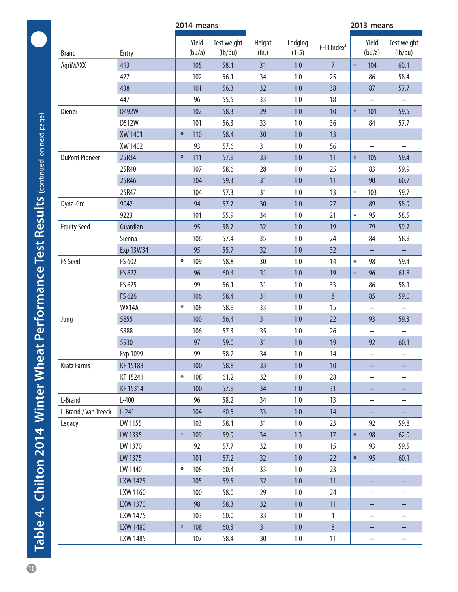|                       |                  | 2014 means      |                        |                 |                    | 2013 means             |                          |                          |  |
|-----------------------|------------------|-----------------|------------------------|-----------------|--------------------|------------------------|--------------------------|--------------------------|--|
| <b>Brand</b>          | Entry            | Yield<br>(bu/a) | Test weight<br>(lb/bu) | Height<br>(in.) | Lodging<br>$(1-5)$ | FHB Index <sup>1</sup> | Yield<br>(bu/a)          | Test weight<br>(lb/bu)   |  |
| AgriMAXX              | 413              | 105             | 58.1                   | 31              | 1.0                | $\overline{7}$         | $\ast$<br>104            | 60.1                     |  |
|                       | 427              | 102             | 56.1                   | 34              | 1.0                | 25                     | 86                       | 58.4                     |  |
|                       | 438              | 101             | 56.3                   | 32              | 1.0                | 38                     | 87                       | 57.7                     |  |
|                       | 447              | 96              | 55.5                   | 33              | $1.0\,$            | 18                     | $\overline{\phantom{a}}$ | $\overline{\phantom{a}}$ |  |
| Diener                | D492W            | 102             | 58.3                   | 29              | 1.0                | 10                     | 101<br>$\ast$            | 59.5                     |  |
|                       | D512W            | 101             | 56.3                   | 33              | 1.0                | 36                     | 84                       | 57.7                     |  |
|                       | XW 1401          | 110<br>$\ast$   | 58.4                   | 30 <sup>°</sup> | 1.0                | 13                     | --                       | --                       |  |
|                       | XW 1402          | 93              | 57.6                   | 31              | 1.0                | 56                     | $\overline{\phantom{a}}$ | $\overline{\phantom{a}}$ |  |
| <b>DuPont Pioneer</b> | 25R34            | $\ast$<br>111   | 57.9                   | 33              | 1.0                | 11                     | 105<br>$\ast$            | 59.4                     |  |
|                       | 25R40            | 107             | 58.6                   | 28              | 1.0                | 25                     | 83                       | 59.9                     |  |
|                       | 25R46            | 104             | 59.3                   | 31              | 1.0                | 11                     | 90                       | 60.7                     |  |
|                       | 25R47            | 104             | 57.3                   | 31              | 1.0                | 13                     | 103<br>$\ast$            | 59.7                     |  |
| Dyna-Gro              | 9042             | 94              | 57.7                   | 30 <sup>°</sup> | 1.0                | 27                     | 89                       | 58.9                     |  |
|                       | 9223             | 101             | 55.9                   | 34              | 1.0                | 21                     | 95<br>$\ast$             | 58.5                     |  |
| <b>Equity Seed</b>    | Guardian         | 95              | 58.7                   | 32              | 1.0                | 19                     | 79                       | 59.2                     |  |
|                       | Sienna           | 106             | 57.4                   | 35              | 1.0                | 24                     | 84                       | 58.9                     |  |
|                       | <b>Exp 13W34</b> | 95              | 55.7                   | 32              | 1.0                | 32                     | --                       | --                       |  |
| FS Seed               | FS 602           | $\ast$<br>109   | 58.8                   | 30 <sup>°</sup> | 1.0                | 14                     | $\ast$<br>98             | 59.4                     |  |
|                       | FS 622           | 96              | 60.4                   | 31              | 1.0                | 19                     | 96<br>$\ast$             | 61.8                     |  |
|                       | FS 625           | 99              | 56.1                   | 31              | 1.0                | 33                     | 86                       | 58.1                     |  |
|                       | FS 626           | 106             | 58.4                   | 31              | 1.0                | 8                      | 85                       | 59.0                     |  |
|                       | <b>WX14A</b>     | $\ast$<br>108   | 58.9                   | 33              | 1.0                | 15                     | $\overline{\phantom{a}}$ | $\overline{\phantom{a}}$ |  |
| Jung                  | 5855             | 100             | 56.4                   | 31              | 1.0                | 22                     | 93                       | 59.3                     |  |
|                       | 5888             | 106             | 57.3                   | 35              | 1.0                | 26                     | --                       |                          |  |
|                       | 5930             | 97              | 59.0                   | 31              | 1.0                | 19                     | 92                       | 60.1                     |  |
|                       | Exp 1099         | 99              | 58.2                   | 34              | 1.0                | 14                     | --                       | ÷                        |  |
| <b>Kratz Farms</b>    | KF 15188         | 100             | 58.8                   | 33 <sup>°</sup> | 1.0                | 10                     |                          |                          |  |
|                       | KF 15241         | $\ast$<br>108   | 61.2                   | 32              | 1.0                | 28                     | $\overline{a}$           | $-\!$ –                  |  |
|                       | KF 15314         | 100             | 57.9                   | 34              | $1.0$              | 31                     | --                       | ÷÷                       |  |
| L-Brand               | $L-400$          | 96              | 58.2                   | 34              | 1.0                | 13                     | $\overline{\phantom{a}}$ | --                       |  |
| L-Brand / Van Treeck  | $L-241$          | 104             | 60.5                   | 33 <sup>°</sup> | 1.0                | 14                     | $\rightarrow$            | н,                       |  |
| Legacy                | LW 1155          | 103             | 58.1                   | 31              | $1.0\,$            | 23                     | 92                       | 59.8                     |  |
|                       | LW 1335          | $\ast$<br>109   | 59.9                   | 34              | 1.3                | 17                     | 98<br>$\ast$             | 62.0                     |  |
|                       | LW 1370          | 92              | 57.7                   | 32              | $1.0\,$            | 15                     | 93                       | 59.5                     |  |
|                       | LW 1375          | 101             | 57.2                   | 32              | 1.0                | 22                     | 95<br>$\ast$             | 60.1                     |  |
|                       | LW 1440          | 108<br>$\ast$   | 60.4                   | 33              | 1.0                | 23                     | $\overline{\phantom{a}}$ | --                       |  |
|                       | LXW 1425         | 105             | 59.5                   | 32              | 1.0                | 11                     | --                       | --                       |  |
|                       | LXW 1160         | 100             | 58.0                   | 29              | 1.0                | 24                     | $\overline{\phantom{a}}$ | $\overline{\phantom{a}}$ |  |
|                       | LXW 1370         | 98              | 58.3                   | 32              | 1.0                | 11                     |                          |                          |  |
|                       | LXW 1475         | 103             | 60.0                   | 33              | 1.0                | $\mathbf{1}$           | --                       | --                       |  |
|                       | LXW 1480         | 108<br>$\ast$   | 60.3                   | 31              | $1.0\,$            | $8\,$                  |                          |                          |  |
|                       | LXW 1485         | 107             | 58.4                   | 30              | 1.0                | 11                     | $-\!$ $\!-$              | --                       |  |

<span id="page-9-0"></span>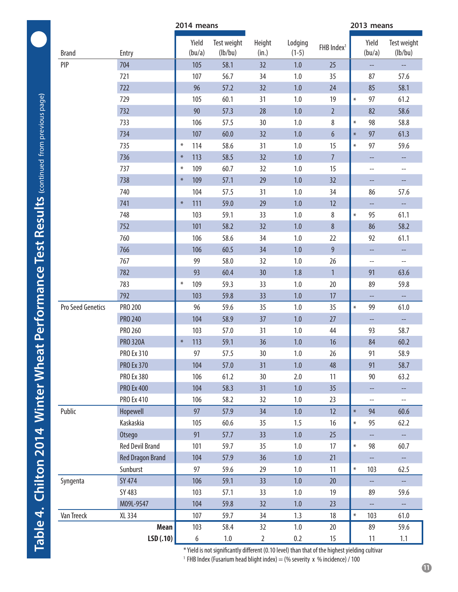|                   |                         | 2014 means |                 |                        |                 |                    |                        | 2013 means |                          |                                                     |  |
|-------------------|-------------------------|------------|-----------------|------------------------|-----------------|--------------------|------------------------|------------|--------------------------|-----------------------------------------------------|--|
| <b>Brand</b>      | Entry                   |            | Yield<br>(bu/a) | Test weight<br>(lb/bu) | Height<br>(in.) | Lodging<br>$(1-5)$ | FHB Index <sup>1</sup> |            | Yield<br>(bu/a)          | Test weight<br>(lb/bu)                              |  |
| PIP               | 704                     |            | 105             | 58.1                   | 32              | 1.0                | 25                     |            | --                       | $\overline{\phantom{a}}$                            |  |
|                   | 721                     |            | 107             | 56.7                   | 34              | 1.0                | 35                     |            | 87                       | 57.6                                                |  |
|                   | 722                     |            | 96              | 57.2                   | 32              | 1.0                | 24                     |            | 85                       | 58.1                                                |  |
|                   | 729                     |            | 105             | 60.1                   | 31              | 1.0                | 19                     | $\ast$     | 97                       | 61.2                                                |  |
|                   | 732                     |            | 90              | 57.3                   | 28              | 1.0                | $\overline{2}$         |            | 82                       | 58.6                                                |  |
|                   | 733                     |            | 106             | 57.5                   | 30              | 1.0                | 8                      | $\ast$     | 98                       | 58.8                                                |  |
|                   | 734                     |            | 107             | 60.0                   | 32              | 1.0                | $6\phantom{.}6$        | $\ast$     | 97                       | 61.3                                                |  |
|                   | 735                     | $\ast$     | 114             | 58.6                   | 31              | 1.0                | 15                     | $\ast$     | 97                       | 59.6                                                |  |
|                   | 736                     | $\ast$     | 113             | 58.5                   | 32              | 1.0                | $\overline{7}$         |            | $-\!$                    |                                                     |  |
|                   | 737                     | $\ast$     | 109             | 60.7                   | 32              | 1.0                | 15                     |            | $-\!$                    | --                                                  |  |
|                   | 738                     | $*$        | 109             | 57.1                   | 29              | 1.0                | 32                     |            | --                       | --                                                  |  |
|                   | 740                     |            | 104             | 57.5                   | 31              | 1.0                | 34                     |            | 86                       | 57.6                                                |  |
|                   | 741                     | $\ast$     | 111             | 59.0                   | 29              | 1.0                | 12                     |            | --                       | $\overline{\phantom{a}}$                            |  |
|                   | 748                     |            | 103             | 59.1                   | 33              | 1.0                | 8                      | $\ast$     | 95                       | 61.1                                                |  |
|                   | 752                     |            | 101             | 58.2                   | 32              | 1.0                | $\bf 8$                |            | 86                       | 58.2                                                |  |
|                   | 760                     |            | 106             | 58.6                   | 34              | 1.0                | 22                     |            | 92                       | 61.1                                                |  |
|                   | 766                     |            | 106             | 60.5                   | 34              | 1.0                | $\overline{9}$         |            | --                       |                                                     |  |
|                   | 767                     |            | 99              | 58.0                   | 32              | 1.0                | 26                     |            | $\overline{\phantom{a}}$ | $\hspace{0.05cm} -\hspace{0.05cm} -\hspace{0.05cm}$ |  |
|                   | 782                     |            | 93              | 60.4                   | 30              | 1.8                | $\mathbf{1}$           |            | 91                       | 63.6                                                |  |
|                   | 783                     | $\ast$     | 109             | 59.3                   | 33              | 1.0                | 20                     |            | 89                       | 59.8                                                |  |
|                   | 792                     |            | 103             | 59.8                   | 33              | 1.0                | 17                     |            | $-\!$                    |                                                     |  |
| Pro Seed Genetics | PRO 200                 |            | 96              | 59.6                   | 35              | 1.0                | 35                     | $\ast$     | 99                       | 61.0                                                |  |
|                   | <b>PRO 240</b>          |            | 104             | 58.9                   | 37              | 1.0                | 27                     |            | $-\!$                    | $\overline{\phantom{a}}$                            |  |
|                   | PRO 260                 |            | 103             | 57.0                   | 31              | 1.0                | 44                     |            | 93                       | 58.7                                                |  |
|                   | <b>PRO 320A</b>         | $\ast$     | 113             | 59.1                   | 36              | 1.0                | 16                     |            | 84                       | 60.2                                                |  |
|                   | PRO Ex 310              |            | 97              | 57.5                   | 30              | 1.0                | 26                     |            | 91                       | 58.9                                                |  |
|                   | <b>PRO Ex 370</b>       |            | 104             | 57.0                   | 31              | 1.0                | 48                     |            | 91                       | 58.7                                                |  |
|                   | <b>PRO Ex 380</b>       |            | 106             | 61.2                   | 30              | 2.0                | 11                     |            | 90                       | 63.2                                                |  |
|                   | <b>PRO Ex 400</b>       |            | 104             | 58.3                   | 31              | 1.0                | 35                     |            | --                       |                                                     |  |
|                   | PRO Ex 410              |            | 106             | 58.2                   | 32              | $1.0\,$            | 23                     |            | $\overline{\phantom{a}}$ | $\hspace{0.05cm} -\hspace{0.05cm} -\hspace{0.05cm}$ |  |
| Public            | Hopewell                |            | 97              | 57.9                   | 34              | 1.0                | 12                     | $\ast$     | 94                       | 60.6                                                |  |
|                   | Kaskaskia               |            | 105             | 60.6                   | 35              | 1.5                | 16                     | $\ast$     | 95                       | 62.2                                                |  |
|                   | Otsego                  |            | 91              | 57.7                   | 33              | 1.0                | 25                     |            | --                       | $\hspace{0.05cm} \dashrightarrow$                   |  |
|                   | <b>Red Devil Brand</b>  |            | 101             | 59.7                   | 35              | 1.0                | 17                     | $\ast$     | 98                       | 60.7                                                |  |
|                   | <b>Red Dragon Brand</b> |            | 104             | 57.9                   | 36              | 1.0                | 21                     |            | --                       | --                                                  |  |
|                   | Sunburst                |            | 97              | 59.6                   | 29              | 1.0                | 11                     | $\ast$     | 103                      | 62.5                                                |  |
| Syngenta          | <b>SY 474</b>           |            | 106             | 59.1                   | 33              | 1.0                | 20                     |            | $\overline{\phantom{a}}$ | $\hspace{0.05cm} -$                                 |  |
|                   | SY 483                  |            | 103             | 57.1                   | 33              | 1.0                | 19                     |            | 89                       | 59.6                                                |  |
|                   | M09L-9547               |            | 104             | 59.8                   | 32              | 1.0                | 23                     |            | --                       |                                                     |  |
| Van Treeck        | XL 334                  |            | 107             | 59.7                   | 34              | 1.3                | 18                     | $\ast$     | 103                      | 61.0                                                |  |
|                   | Mean                    |            | 103             | 58.4                   | 32              | $1.0\,$            | 20                     |            | 89                       | 59.6                                                |  |
|                   | LSD(.10)                |            | 6               | $1.0\,$                | $\overline{2}$  | 0.2                | 15                     |            | 11                       | 1.1                                                 |  |

\* Yield is not significantly different (0.10 level) than that of the highest yielding cultivar

<sup>1</sup> FHB Index (Fusarium head blight index) = (% severity x % incidence) / 100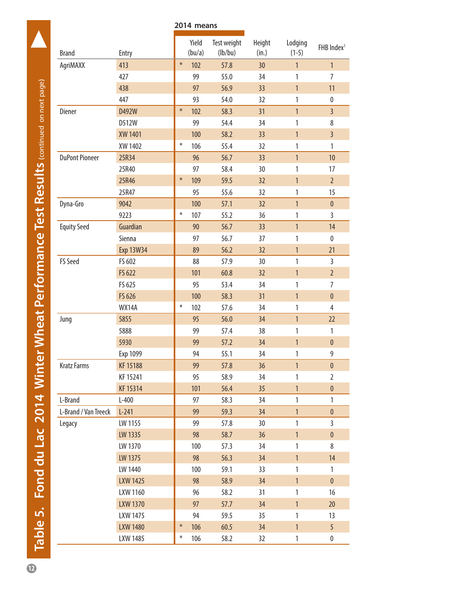<span id="page-11-0"></span>

|                       |                  |        | 2014 means      |                        |                 |                    |                        |
|-----------------------|------------------|--------|-----------------|------------------------|-----------------|--------------------|------------------------|
| <b>Brand</b>          | Entry            |        | Yield<br>(bu/a) | Test weight<br>(lb/bu) | Height<br>(in.) | Lodging<br>$(1-5)$ | FHB Index <sup>1</sup> |
| AgriMAXX              | 413              | $\ast$ | 102             | 57.8                   | 30              | $\mathbf{1}$       | $\mathbf{1}$           |
|                       | 427              |        | 99              | 55.0                   | 34              | 1                  | 7                      |
|                       | 438              |        | 97              | 56.9                   | 33              | $\mathbf{1}$       | 11                     |
|                       | 447              |        | 93              | 54.0                   | 32              | 1                  | $\pmb{0}$              |
| Diener                | D492W            | $\ast$ | 102             | 58.3                   | 31              | $\overline{1}$     | $\overline{3}$         |
|                       | D512W            |        | 99              | 54.4                   | 34              | 1                  | 8                      |
|                       | XW 1401          |        | 100             | 58.2                   | 33              | $\mathbf{1}$       | $\overline{3}$         |
|                       | XW 1402          | $\ast$ | 106             | 55.4                   | 32              | 1                  | $\mathbf{1}$           |
| <b>DuPont Pioneer</b> | 25R34            |        | 96              | 56.7                   | 33              | $\mathbf{1}$       | 10                     |
|                       | 25R40            |        | 97              | 58.4                   | 30              | $\mathbf{1}$       | 17                     |
|                       | 25R46            | $\ast$ | 109             | 59.5                   | 32              | $\mathbf{1}$       | $\overline{2}$         |
|                       | 25R47            |        | 95              | 55.6                   | 32              | 1                  | 15                     |
| Dyna-Gro              | 9042             |        | 100             | 57.1                   | 32              | $\overline{1}$     | $\pmb{0}$              |
|                       | 9223             | $\ast$ | 107             | 55.2                   | 36              | 1                  | $\overline{3}$         |
| <b>Equity Seed</b>    | Guardian         |        | 90              | 56.7                   | 33              | $\mathbf{1}$       | 14                     |
|                       | Sienna           |        | 97              | 56.7                   | 37              | 1                  | $\pmb{0}$              |
|                       | <b>Exp 13W34</b> |        | 89              | 56.2                   | 32              | $\mathbf{1}$       | 21                     |
| <b>FS Seed</b>        | FS 602           |        | 88              | 57.9                   | 30              | $\mathbf{1}$       | $\mathbf{3}$           |
|                       | FS 622           |        | 101             | 60.8                   | 32              | $\mathbf{1}$       | $\overline{2}$         |
|                       | FS 625           |        | 95              | 53.4                   | 34              | $\mathbf{1}$       | 7                      |
|                       | FS 626           |        | 100             | 58.3                   | 31              | $\mathbf{1}$       | $\pmb{0}$              |
|                       | <b>WX14A</b>     | $\ast$ | 102             | 57.6                   | 34              | 1                  | 4                      |
| Jung                  | 5855             |        | 95              | 56.0                   | 34              | $\mathbf{1}$       | 22                     |
|                       | 5888             |        | 99              | 57.4                   | 38              | 1                  | $\mathbf{1}$           |
|                       | 5930             |        | 99              | 57.2                   | 34              | $\mathbf{1}$       | $\pmb{0}$              |
|                       | Exp 1099         |        | 94              | 55.1                   | 34              | 1                  | 9                      |
| <b>Kratz Farms</b>    | KF 15188         |        | 99              | 57.8                   | 36              | $\mathbf{1}$       | $\pmb{0}$              |
|                       | KF 15241         |        | 95              | 58.9                   | 34              | 1                  | $\overline{2}$         |
|                       | KF 15314         |        | 101             | 56.4                   | 35 <sub>2</sub> | $\mathbf{1}$       | $\pmb{0}$              |
| L-Brand               | $L-400$          |        | 97              | 58.3                   | 34              | $\mathbf{1}$       | $\mathbf{1}$           |
| L-Brand / Van Treeck  | $L-241$          |        | 99              | 59.3                   | 34              | $\overline{1}$     | $\pmb{0}$              |
| Legacy                | LW 1155          |        | 99              | 57.8                   | 30              | $\mathbf{1}$       | $\mathsf{3}$           |
|                       | LW 1335          |        | 98              | 58.7                   | 36              | $\mathbf{1}$       | $\pmb{0}$              |
|                       | LW 1370          |        | 100             | 57.3                   | 34              | $\mathbf{1}$       | 8                      |
|                       | LW 1375          |        | 98              | 56.3                   | 34              | $\mathbf{1}$       | 14                     |
|                       | LW 1440          |        | 100             | 59.1                   | 33              | $\mathbf{1}$       | $\mathbf{1}$           |
|                       | LXW 1425         |        | 98              | 58.9                   | 34              | $\mathbf{1}$       | $\pmb{0}$              |
|                       | LXW 1160         |        | 96              | 58.2                   | 31              | $\mathbf{1}$       | 16                     |
|                       | <b>LXW 1370</b>  |        | 97              | 57.7                   | 34              | $\mathbf{1}$       | 20                     |
|                       | LXW 1475         |        | 94              | 59.5                   | 35              | 1                  | 13                     |
|                       | <b>LXW 1480</b>  | $\ast$ | 106             | 60.5                   | 34              | $\mathbf{1}$       | 5                      |
|                       | LXW 1485         | $\ast$ | 106             | 58.2                   | 32              | $\mathbbm{1}$      | $\pmb{0}$              |

Table 5. Fond du Lac 2014 Winter Wheat Performance Test Results continued on next page) **12 Table 5. Fond du Lac 2014 Winter Wheat Performance Test Results (**continued on next page**)**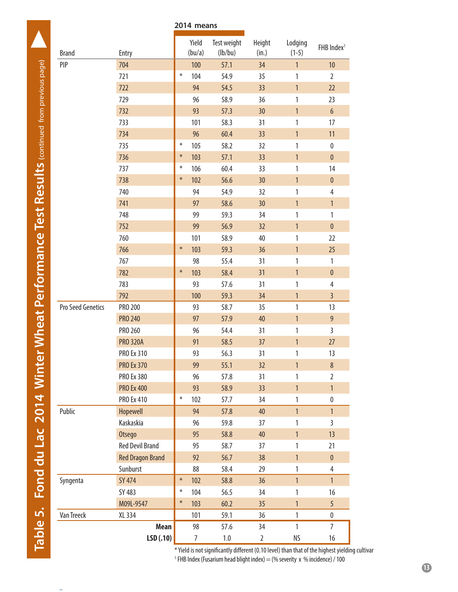|                   |                         | 2014 means |                 |                        |                 |                    |                        |
|-------------------|-------------------------|------------|-----------------|------------------------|-----------------|--------------------|------------------------|
| <b>Brand</b>      | Entry                   |            | Yield<br>(bu/a) | Test weight<br>(lb/bu) | Height<br>(in.) | Lodging<br>$(1-5)$ | FHB Index <sup>1</sup> |
| PIP               | 704                     |            | 100             | 57.1                   | 34              | $\mathbf{1}$       | 10                     |
|                   | 721                     | ⋇          | 104             | 54.9                   | 35              | $\mathbf{1}$       | $\overline{2}$         |
|                   | 722                     |            | 94              | 54.5                   | 33              | $\mathbf{1}$       | 22                     |
|                   | 729                     |            | 96              | 58.9                   | 36              | 1                  | 23                     |
|                   | 732                     |            | 93              | 57.3                   | 30              | $\overline{1}$     | $6\,$                  |
|                   | 733                     |            | 101             | 58.3                   | 31              | 1                  | 17                     |
|                   | 734                     |            | 96              | 60.4                   | 33              | $\mathbf{1}$       | 11                     |
|                   | 735                     | $\ast$     | 105             | 58.2                   | 32              | $\mathbf{1}$       | $\pmb{0}$              |
|                   | 736                     | $\ast$     | 103             | 57.1                   | 33              | $\mathbf{1}$       | $\pmb{0}$              |
|                   | 737                     | $\ast$     | 106             | 60.4                   | 33              | $\mathbf{1}$       | 14                     |
|                   | 738                     | $\ast$     | 102             | 56.6                   | 30              | $\mathbf{1}$       | $\pmb{0}$              |
|                   | 740                     |            | 94              | 54.9                   | 32              | 1                  | $\overline{4}$         |
|                   | 741                     |            | 97              | 58.6                   | 30              | $\mathbf{1}$       | $\mathbf{1}$           |
|                   | 748                     |            | 99              | 59.3                   | 34              | 1                  | $\mathbf{1}$           |
|                   | 752                     |            | 99              | 56.9                   | 32              | $\mathbf{1}$       | $\pmb{0}$              |
|                   | 760                     |            | 101             | 58.9                   | 40              | $\mathbf{1}$       | 22                     |
|                   | 766                     | $\ast$     | 103             | 59.3                   | 36              | $\mathbf{1}$       | 25                     |
|                   | 767                     |            | 98              | 55.4                   | 31              | $\mathbf{1}$       | $\mathbf{1}$           |
|                   | 782                     | $\ast$     | 103             | 58.4                   | 31              | $\mathbf{1}$       | $\pmb{0}$              |
|                   | 783                     |            | 93              | 57.6                   | 31              | 1                  | 4                      |
|                   | 792                     |            | 100             | 59.3                   | 34              | $\mathbf{1}$       | $\overline{3}$         |
| Pro Seed Genetics | PRO 200                 |            | 93              | 58.7                   | 35              | $\mathbf{1}$       | 13                     |
|                   | <b>PRO 240</b>          |            | 97              | 57.9                   | 40              | $\mathbf{1}$       | 9                      |
|                   | PRO 260                 |            | 96              | 54.4                   | 31              | $\mathbf{1}$       | $\overline{3}$         |
|                   | <b>PRO 320A</b>         |            | 91              | 58.5                   | 37              | $\mathbf{1}$       | 27                     |
|                   | PRO Ex 310              |            | 93              | 56.3                   | 31              | 1                  | 13                     |
|                   | <b>PRO Ex 370</b>       |            | 99              | 55.1                   | 32              | $\mathbf{1}$       | $\,8\,$                |
|                   | PRO Ex 380              |            | 96              | 57.8                   | 31              | 1                  | $\overline{2}$         |
|                   | <b>PRO Ex 400</b>       |            | 93              | 58.9                   | 33              | $\mathbf{1}$       | $\mathbf{1}$           |
|                   | PRO Ex 410              | $\ast$     | 102             | 57.7                   | 34              | $\mathbf{1}$       | $\pmb{0}$              |
| Public            | Hopewell                |            | 94              | 57.8                   | 40              | $\mathbf{1}$       | $\mathbf{1}$           |
|                   | Kaskaskia               |            | 96              | 59.8                   | 37              | $\mathbf{1}$       | $\overline{3}$         |
|                   | Otsego                  |            | 95              | 58.8                   | 40              | $\mathbf{1}$       | 13                     |
|                   | <b>Red Devil Brand</b>  |            | 95              | 58.7                   | 37              | $\mathbf{1}$       | 21                     |
|                   | <b>Red Dragon Brand</b> |            | 92              | 56.7                   | 38              | $\mathbf{1}$       | $\pmb{0}$              |
|                   | Sunburst                |            | 88              | 58.4                   | 29              | $\mathbf{1}$       | 4                      |
| Syngenta          | SY 474                  | $\ast$     | 102             | 58.8                   | 36              | $\mathbf{1}$       | $\mathbf{1}$           |
|                   | SY 483                  | $\ast$     | 104             | 56.5                   | 34              | $\mathbf{1}$       | 16                     |
|                   | M09L-9547               | $\ast$     | 103             | 60.2                   | 35              | $\mathbf{1}$       | 5                      |
| Van Treeck        | XL 334                  |            | 101             | 59.1                   | 36              | $\mathbf{1}$       | $\pmb{0}$              |
|                   | Mean                    |            | 98              | 57.6                   | 34              | $\mathbf{1}$       | $\overline{7}$         |
|                   | LSD(.10)                |            | $\overline{7}$  | $1.0\,$                | $\overline{2}$  | ΝS                 | 16                     |

\* Yield is not significantly different (0.10 level) than that of the highest yielding cultivar <sup>1</sup> FHB Index (Fusarium head blight index) = (% severity x % incidence) / 100

l